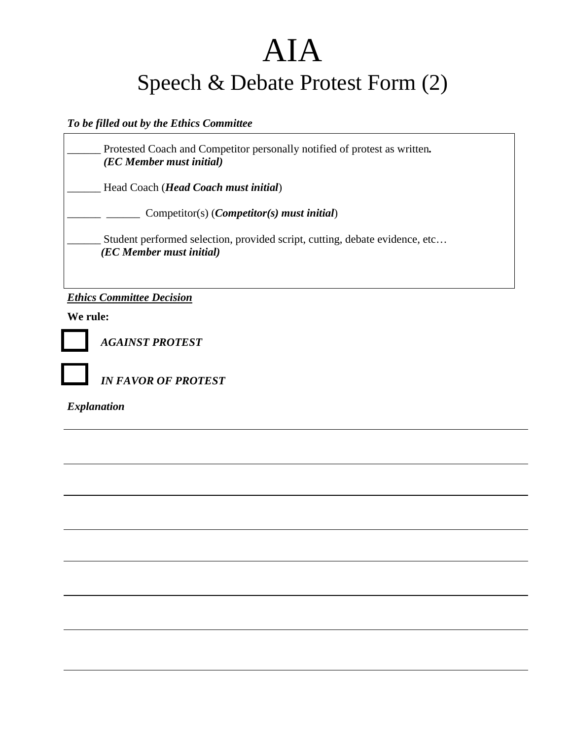## AIA Speech & Debate Protest Form (2)

## *To be filled out by the Ethics Committee*

\_\_\_\_\_\_ Protested Coach and Competitor personally notified of protest as written*. (EC Member must initial)*

\_\_\_\_\_\_ Head Coach (*Head Coach must initial*)

\_\_\_\_\_\_ \_\_\_\_\_\_ Competitor(s) (*Competitor(s) must initial*)

Student performed selection, provided script, cutting, debate evidence, etc... *(EC Member must initial)* 

*Ethics Committee Decision*

**We rule:** 



*AGAINST PROTEST* 

*IN FAVOR OF PROTEST* 

*Explanation*